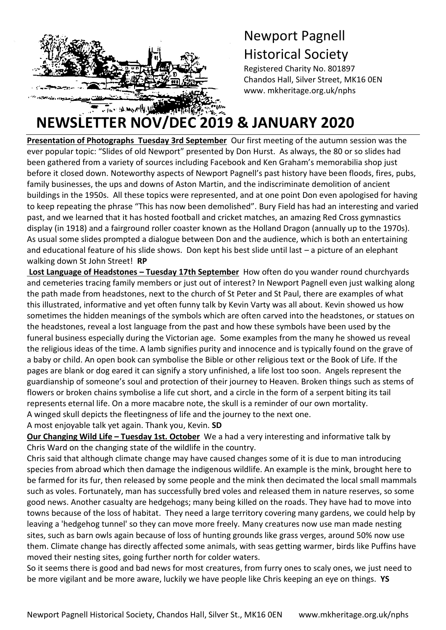

# Newport Pagnell Historical Society

Registered Charity No. 801897 Chandos Hall, Silver Street, MK16 0EN www. mkheritage.org.uk/nphs

# **NEWSLETTER NOV/DEC 2019 & JANUARY 2020**

Presentation of Photographs Tuesday 3rd September Our first meeting of the autumn session was the ever popular topic: "Slides of old Newport" presented by Don Hurst. As always, the 80 or so slides had been gathered from a variety of sources including Facebook and Ken Graham's memorabilia shop just before it closed down. Noteworthy aspects of Newport Pagnell's past history have been floods, fires, pubs, family businesses, the ups and downs of Aston Martin, and the indiscriminate demolition of ancient buildings in the 1950s. All these topics were represented, and at one point Don even apologised for having to keep repeating the phrase "This has now been demolished". Bury Field has had an interesting and varied past, and we learned that it has hosted football and cricket matches, an amazing Red Cross gymnastics display (in 1918) and a fairground roller coaster known as the Holland Dragon (annually up to the 1970s). As usual some slides prompted a dialogue between Don and the audience, which is both an entertaining and educational feature of his slide shows. Don kept his best slide until last – a picture of an elephant walking down St John Street! **RP**

**Lost Language of Headstones – Tuesday 17th September** How often do you wander round churchyards and cemeteries tracing family members or just out of interest? In Newport Pagnell even just walking along the path made from headstones, next to the church of St Peter and St Paul, there are examples of what this illustrated, informative and yet often funny talk by Kevin Varty was all about. Kevin showed us how sometimes the hidden meanings of the symbols which are often carved into the headstones, or statues on the headstones, reveal a lost language from the past and how these symbols have been used by the funeral business especially during the Victorian age. Some examples from the many he showed us reveal the religious ideas of the time. A lamb signifies purity and innocence and is typically found on the grave of a baby or child. An open book can symbolise the Bible or other religious text or the Book of Life. If the pages are blank or dog eared it can signify a story unfinished, a life lost too soon. Angels represent the guardianship of someone's soul and protection of their journey to Heaven. Broken things such as stems of flowers or broken chains symbolise a life cut short, and a circle in the form of a serpent biting its tail represents eternal life. On a more macabre note, the skull is a reminder of our own mortality. A winged skull depicts the fleetingness of life and the journey to the next one.

A most enjoyable talk yet again. Thank you, Kevin. **SD** 

**Our Changing Wild Life - Tuesday 1st. October** We a had a very interesting and informative talk by Chris Ward on the changing state of the wildlife in the country.

Chris said that although climate change may have caused changes some of it is due to man introducing species from abroad which then damage the indigenous wildlife. An example is the mink, brought here to be farmed for its fur, then released by some people and the mink then decimated the local small mammals such as voles. Fortunately, man has successfully bred voles and released them in nature reserves, so some good news. Another casualty are hedgehogs; many being killed on the roads. They have had to move into towns because of the loss of habitat. They need a large territory covering many gardens, we could help by leaving a 'hedgehog tunnel' so they can move more freely. Many creatures now use man made nesting sites, such as barn owls again because of loss of hunting grounds like grass verges, around 50% now use them. Climate change has directly affected some animals, with seas getting warmer, birds like Puffins have moved their nesting sites, going further north for colder waters.

So it seems there is good and bad news for most creatures, from furry ones to scaly ones, we just need to be more vigilant and be more aware, luckily we have people like Chris keeping an eye on things. **YS**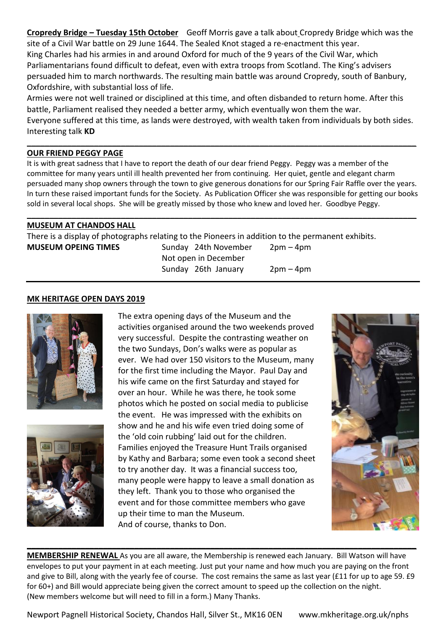**Cropredy Bridge – Tuesday 15th October** Geoff Morris gave a talk about Cropredy Bridge which was the site of a Civil War battle on 29 June 1644. The Sealed Knot staged a re-enactment this year. King Charles had his armies in and around Oxford for much of the 9 years of the Civil War, which Parliamentarians found difficult to defeat, even with extra troops from Scotland. The King's advisers persuaded him to march northwards. The resulting main battle was around Cropredy, south of Banbury, Oxfordshire, with substantial loss of life.

Armies were not well trained or disciplined at this time, and often disbanded to return home. After this battle, Parliament realised they needed a better army, which eventually won them the war.

Everyone suffered at this time, as lands were destroyed, with wealth taken from individuals by both sides. Interesting talk **KD**

**\_\_\_\_\_\_\_\_\_\_\_\_\_\_\_\_\_\_\_\_\_\_\_\_\_\_\_\_\_\_\_\_\_\_\_\_\_\_\_\_\_\_\_\_\_\_\_\_\_\_\_\_\_\_\_\_\_\_\_\_\_\_\_\_\_\_\_\_\_\_\_\_\_\_\_\_\_\_\_\_\_\_\_\_\_\_\_**

### **OUR FRIEND PEGGY PAGE**

It is with great sadness that I have to report the death of our dear friend Peggy. Peggy was a member of the committee for many years until ill health prevented her from continuing. Her quiet, gentle and elegant charm persuaded many shop owners through the town to give generous donations for our Spring Fair Raffle over the years. In turn these raised important funds for the Society. As Publication Officer she was responsible for getting our books sold in several local shops. She will be greatly missed by those who knew and loved her. Goodbye Peggy.

**\_\_\_\_\_\_\_\_\_\_\_\_\_\_\_\_\_\_\_\_\_\_\_\_\_\_\_\_\_\_\_\_\_\_\_\_\_\_\_\_\_\_\_\_\_\_\_\_\_\_\_\_\_\_\_\_\_\_\_\_\_\_\_\_\_\_\_\_\_\_\_\_\_\_\_\_\_\_\_\_\_\_\_\_\_\_\_**

## **MUSEUM AT CHANDOS HALL**

There is a display of photographs relating to the Pioneers in addition to the permanent exhibits.

**MUSEUM OPEING TIMES** Sunday 24th November 2pm – 4pm Not open in December Sunday 26th January 2pm – 4pm

#### **MK HERITAGE OPEN DAYS 2019**





The extra opening days of the Museum and the activities organised around the two weekends proved very successful. Despite the contrasting weather on the two Sundays, Don's walks were as popular as ever. We had over 150 visitors to the Museum, many for the first time including the Mayor. Paul Day and his wife came on the first Saturday and stayed for over an hour. While he was there, he took some photos which he posted on social media to publicise the event. He was impressed with the exhibits on show and he and his wife even tried doing some of the 'old coin rubbing' laid out for the children. Families enjoyed the Treasure Hunt Trails organised by Kathy and Barbara; some even took a second sheet to try another day. It was a financial success too, many people were happy to leave a small donation as they left. Thank you to those who organised the event and for those committee members who gave up their time to man the Museum. And of course, thanks to Don.



**MEMBERSHIP RENEWAL** As you are all aware, the Membership is renewed each January. Bill Watson will have envelopes to put your payment in at each meeting. Just put your name and how much you are paying on the front and give to Bill, along with the yearly fee of course. The cost remains the same as last year (£11 for up to age 59. £9 for 60+) and Bill would appreciate being given the correct amount to speed up the collection on the night. (New members welcome but will need to fill in a form.) Many Thanks.

Newport Pagnell Historical Society, Chandos Hall, Silver St., MK16 0EN www.mkheritage.org.uk/nphs